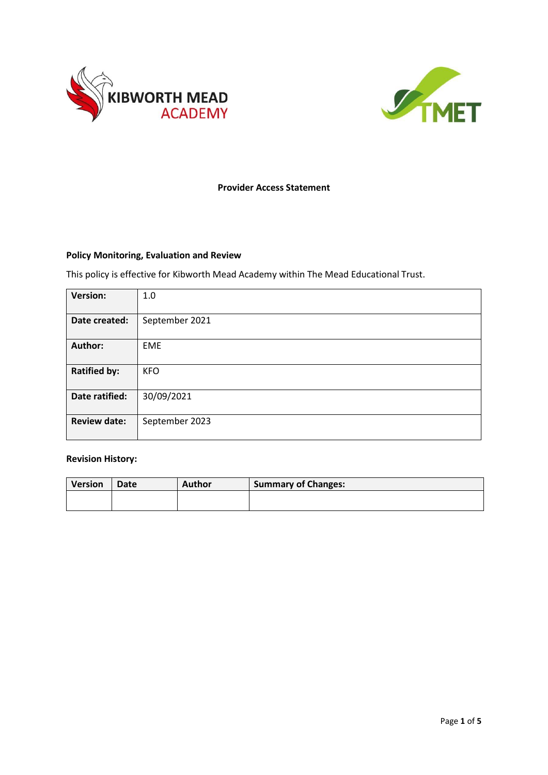



# **Provider Access Statement**

# **Policy Monitoring, Evaluation and Review**

This policy is effective for Kibworth Mead Academy within The Mead Educational Trust.

| <b>Version:</b>     | 1.0            |
|---------------------|----------------|
|                     |                |
| Date created:       | September 2021 |
|                     |                |
| <b>Author:</b>      | <b>EME</b>     |
|                     |                |
|                     |                |
| <b>Ratified by:</b> | <b>KFO</b>     |
|                     |                |
|                     |                |
| Date ratified:      | 30/09/2021     |
|                     |                |
|                     |                |
| <b>Review date:</b> | September 2023 |
|                     |                |
|                     |                |

## **Revision History:**

| <b>Version</b> | <b>Date</b> | Author | <b>Summary of Changes:</b> |
|----------------|-------------|--------|----------------------------|
|                |             |        |                            |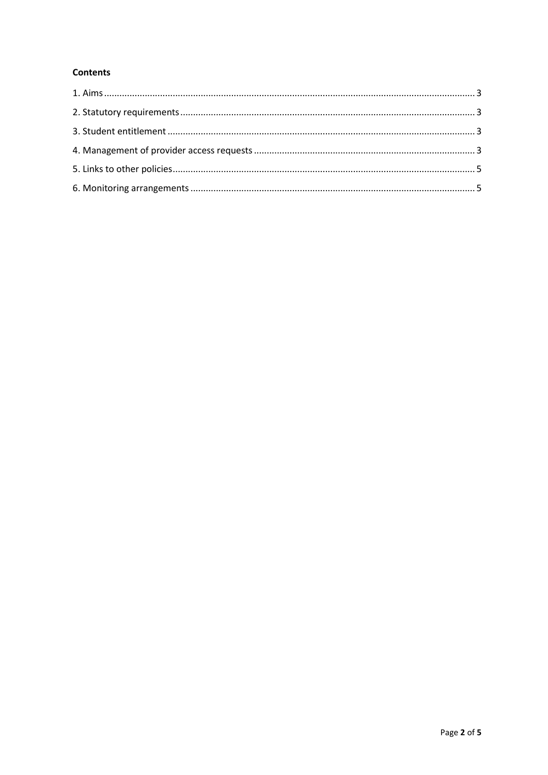# **Contents**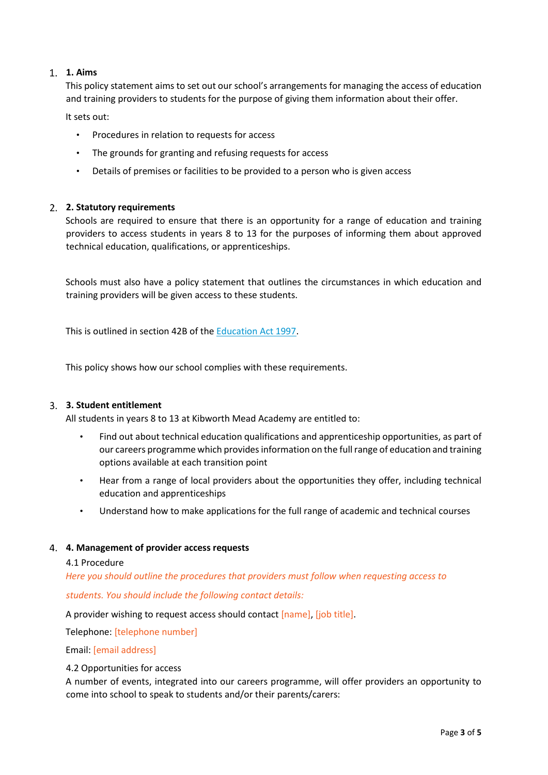# **1. Aims**

<span id="page-2-0"></span>This policy statement aims to set out our school's arrangements for managing the access of education and training providers to students for the purpose of giving them information about their offer.

It sets out:

- Procedures in relation to requests for access
- The grounds for granting and refusing requests for access
- Details of premises or facilities to be provided to a person who is given access

### **2. Statutory requirements**

<span id="page-2-1"></span>Schools are required to ensure that there is an opportunity for a range of education and training providers to access students in years 8 to 13 for the purposes of informing them about approved technical education, qualifications, or apprenticeships.

Schools must also have a policy statement that outlines the circumstances in which education and training providers will be given access to these students.

This is outlined in section 42B of the Education Act 1997.

This policy shows how our school complies with these requirements.

### <span id="page-2-2"></span>**3. Student entitlement**

All students in years 8 to 13 at Kibworth Mead Academy are entitled to:

- Find out about technical education qualifications and apprenticeship opportunities, as part of our careers programme which provides information on the full range of education and training options available at each transition point
- Hear from a range of local providers about the opportunities they offer, including technical education and apprenticeships
- Understand how to make applications for the full range of academic and technical courses

### <span id="page-2-3"></span>**4. Management of provider access requests**

#### 4.1 Procedure

*Here you should outline the procedures that providers must follow when requesting access to students. You should include the following contact details:*

A provider wishing to request access should contact [name], [job title].

Telephone: [telephone number]

Email: [email address]

### 4.2 Opportunities for access

A number of events, integrated into our careers programme, will offer providers an opportunity to come into school to speak to students and/or their parents/carers: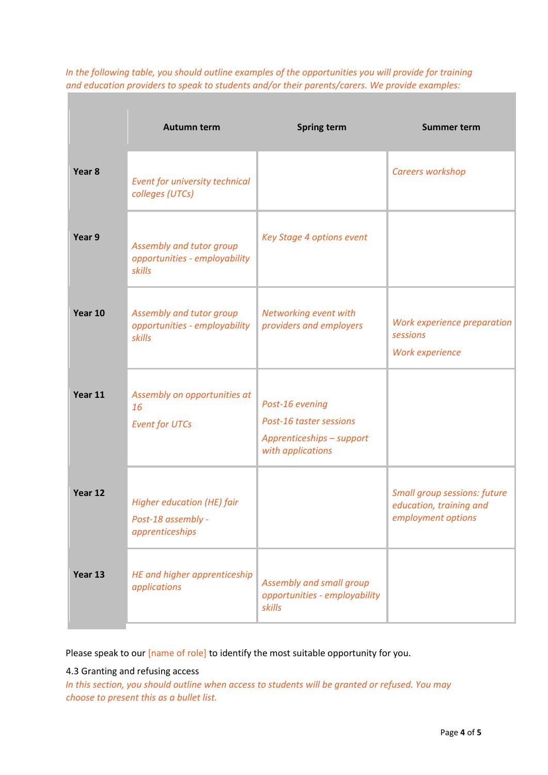|                   | <b>Autumn term</b>                                                         | <b>Spring term</b>                                                                           | <b>Summer term</b>                                                                   |
|-------------------|----------------------------------------------------------------------------|----------------------------------------------------------------------------------------------|--------------------------------------------------------------------------------------|
| Year <sub>8</sub> | Event for university technical<br>colleges (UTCs)                          |                                                                                              | Careers workshop                                                                     |
| Year 9            | Assembly and tutor group<br>opportunities - employability<br>skills        | Key Stage 4 options event                                                                    |                                                                                      |
| Year 10           | Assembly and tutor group<br>opportunities - employability<br>skills        | Networking event with<br>providers and employers                                             | Work experience preparation<br>sessions<br>Work experience                           |
| Year 11           | Assembly on opportunities at<br>16<br><b>Event for UTCs</b>                | Post-16 evening<br>Post-16 taster sessions<br>Apprenticeships - support<br>with applications |                                                                                      |
| Year 12           | <b>Higher education (HE) fair</b><br>Post-18 assembly -<br>apprenticeships |                                                                                              | <b>Small group sessions: future</b><br>education, training and<br>employment options |
| Year 13           | HE and higher apprenticeship<br>applications                               | Assembly and small group<br>opportunities - employability<br>skills                          |                                                                                      |

*In the following table, you should outline examples of the opportunities you will provide for training and education providers to speak to students and/or their parents/carers. We provide examples:*

Please speak to our [name of role] to identify the most suitable opportunity for you.

### 4.3 Granting and refusing access

*In this section, you should outline when access to students will be granted or refused. You may choose to present this as a bullet list.*